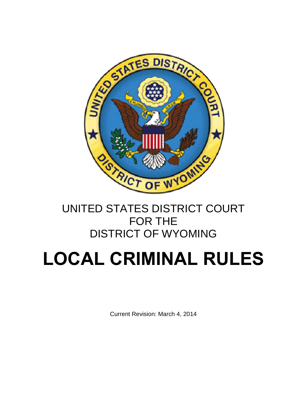

## UNITED STATES DISTRICT COURT FOR THE DISTRICT OF WYOMING

# **LOCAL CRIMINAL RULES**

Current Revision: March 4, 2014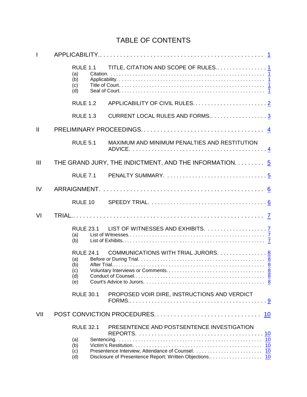### TABLE OF CONTENTS

| $\mathbf{I}$  |                                                     |                                                        |  |  |  |  |
|---------------|-----------------------------------------------------|--------------------------------------------------------|--|--|--|--|
|               | <b>RULE 1.1</b><br>(a)<br>(b)<br>(c)<br>(d)         |                                                        |  |  |  |  |
|               | <b>RULE 1.2</b>                                     |                                                        |  |  |  |  |
|               | <b>RULE 1.3</b>                                     | CURRENT LOCAL RULES AND FORMS3                         |  |  |  |  |
| $\mathbf{II}$ |                                                     |                                                        |  |  |  |  |
|               | <b>RULE 5.1</b>                                     | MAXIMUM AND MINIMUM PENALTIES AND RESTITUTION          |  |  |  |  |
| III           |                                                     | THE GRAND JURY, THE INDICTMENT, AND THE INFORMATION. 5 |  |  |  |  |
|               | <b>RULE 7.1</b>                                     |                                                        |  |  |  |  |
| IV            |                                                     |                                                        |  |  |  |  |
|               | RULE 10                                             |                                                        |  |  |  |  |
| VI            |                                                     |                                                        |  |  |  |  |
|               | <b>RULE 23.1</b><br>(a)<br>(b)                      |                                                        |  |  |  |  |
|               | <b>RULE 24.1</b><br>(a)<br>(b)<br>(c)<br>(d)<br>(e) | COMMUNICATIONS WITH TRIAL JURORS. 8                    |  |  |  |  |
|               | <b>RULE 30.1</b>                                    | PROPOSED VOIR DIRE, INSTRUCTIONS AND VERDICT           |  |  |  |  |
| VII           | POST CONVICTION PROCEDURES<br>10                    |                                                        |  |  |  |  |
|               | <b>RULE 32.1</b><br>(a)<br>(b)<br>(c)<br>(d)        | PRESENTENCE AND POSTSENTENCE INVESTIGATION<br>10       |  |  |  |  |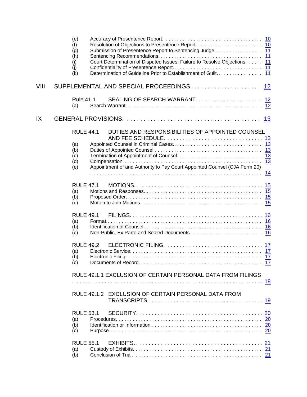|      | (e)<br>(f)<br>(g)<br>(h)<br>Court Determination of Disputed Issues; Failure to Resolve Objections. 11<br>(i)<br>(i)<br>(k) |    |
|------|----------------------------------------------------------------------------------------------------------------------------|----|
| VIII |                                                                                                                            |    |
|      | <b>Rule 41.1</b><br>SEALING OF SEARCH WARRANT 12<br>(a)                                                                    |    |
| IX   |                                                                                                                            |    |
|      | DUTIES AND RESPONSIBILITIES OF APPOINTED COUNSEL<br><b>RULE 44.1</b><br>(a)<br>(b)<br>(c)                                  |    |
|      | (d)<br>Appointment of and Authority to Pay Court Appointed Counsel (CJA Form 20)<br>(e)                                    |    |
|      | <b>RULE 47.1</b><br>(a)<br>(b)<br>(c)                                                                                      |    |
|      | <b>RULE 49.1</b><br>(a)<br>(b)<br>(c)                                                                                      |    |
|      | <b>RULE 49.2</b><br>(a)<br>(b)<br>(c)                                                                                      | 17 |
|      | RULE 49.1.1 EXCLUSION OF CERTAIN PERSONAL DATA FROM FILINGS                                                                |    |
|      | RULE 49.1.2 EXCLUSION OF CERTAIN PERSONAL DATA FROM                                                                        |    |
|      | <b>RULE 53.1</b><br>(a)<br>(b)<br>(c)                                                                                      |    |
|      | <b>RULE 55.1</b><br>(a)<br>(b)                                                                                             |    |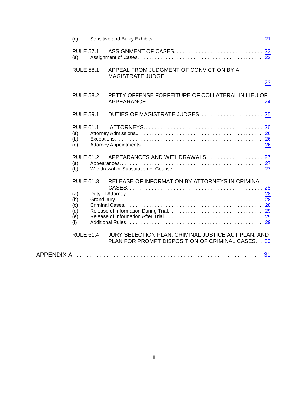| (c)                                                                            |                                                                                                        |  |
|--------------------------------------------------------------------------------|--------------------------------------------------------------------------------------------------------|--|
| <b>RULE 57.1</b><br>(a)                                                        |                                                                                                        |  |
| <b>RULE 58.1</b>                                                               | APPEAL FROM JUDGMENT OF CONVICTION BY A<br><b>MAGISTRATE JUDGE</b>                                     |  |
| <b>RULE 58.2</b>                                                               | PETTY OFFENSE FORFEITURE OF COLLATERAL IN LIEU OF                                                      |  |
| <b>RULE 59.1</b>                                                               | DUTIES OF MAGISTRATE JUDGES 25                                                                         |  |
| <b>RULE 61.1</b><br>(a)<br>(b)<br>(c)                                          |                                                                                                        |  |
| <b>RULE 61.2</b><br>(a)<br>(b)                                                 | APPEARANCES AND WITHDRAWALS 27                                                                         |  |
| <b>RULE 61.3</b><br>(a)<br>(b)<br>(c)<br>(d)<br>(e)<br>(f)<br><b>RULE 61.4</b> | RELEASE OF INFORMATION BY ATTORNEYS IN CRIMINAL<br>JURY SELECTION PLAN, CRIMINAL JUSTICE ACT PLAN, AND |  |
|                                                                                | PLAN FOR PROMPT DISPOSITION OF CRIMINAL CASES30                                                        |  |
|                                                                                |                                                                                                        |  |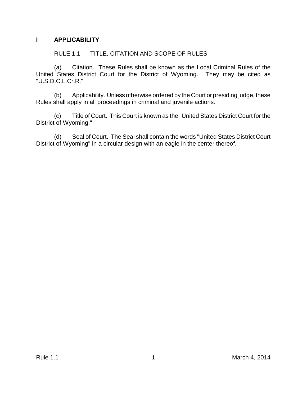#### <span id="page-4-0"></span>**I APPLICABILITY**

#### <span id="page-4-2"></span><span id="page-4-1"></span>RULE 1.1 TITLE, CITATION AND SCOPE OF RULES

(a) Citation. These Rules shall be known as the Local Criminal Rules of the United States District Court for the District of Wyoming. They may be cited as "U.S.D.C.L.Cr.R."

<span id="page-4-3"></span>(b) Applicability. Unless otherwise ordered by the Court or presiding judge, these Rules shall apply in all proceedings in criminal and juvenile actions.

<span id="page-4-4"></span>(c) Title of Court. This Court is known as the "United States District Court for the District of Wyoming."

<span id="page-4-5"></span>(d) Seal of Court. The Seal shall contain the words "United States District Court District of Wyoming" in a circular design with an eagle in the center thereof.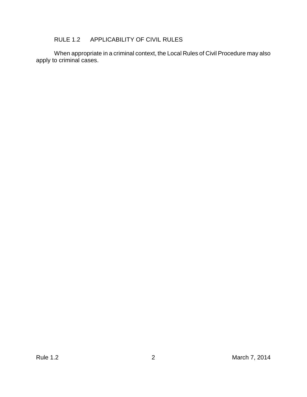#### <span id="page-5-0"></span>RULE 1.2 APPLICABILITY OF CIVIL RULES

When appropriate in a criminal context, the Local Rules of Civil Procedure may also apply to criminal cases.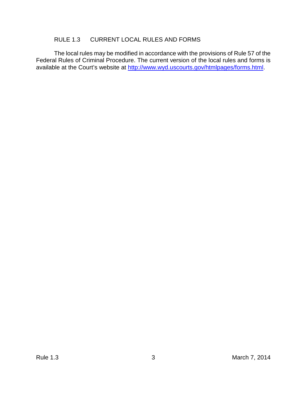#### <span id="page-6-0"></span>RULE 1.3 CURRENT LOCAL RULES AND FORMS

The local rules may be modified in accordance with the provisions of Rule 57 of the Federal Rules of Criminal Procedure. The current version of the local rules and forms is available at the Court's website at<http://www.wyd.uscourts.gov/htmlpages/forms.html>.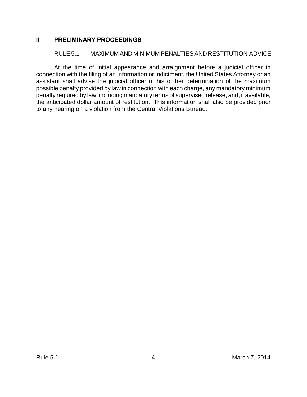#### <span id="page-7-0"></span>**II PRELIMINARY PROCEEDINGS**

#### <span id="page-7-1"></span>RULE 5.1 MAXIMUM AND MINIMUM PENALTIES AND RESTITUTION ADVICE

At the time of initial appearance and arraignment before a judicial officer in connection with the filing of an information or indictment, the United States Attorney or an assistant shall advise the judicial officer of his or her determination of the maximum possible penalty provided by law in connection with each charge, any mandatory minimum penalty required by law, including mandatory terms of supervised release, and, if available, the anticipated dollar amount of restitution. This information shall also be provided prior to any hearing on a violation from the Central Violations Bureau.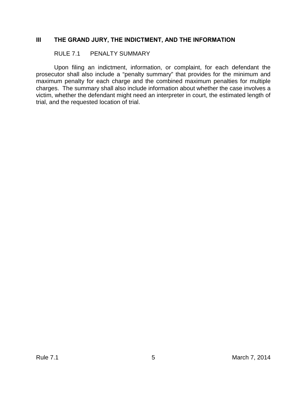#### <span id="page-8-0"></span>**III THE GRAND JURY, THE INDICTMENT, AND THE INFORMATION**

#### <span id="page-8-1"></span>RULE 7.1 PENALTY SUMMARY

Upon filing an indictment, information, or complaint, for each defendant the prosecutor shall also include a "penalty summary" that provides for the minimum and maximum penalty for each charge and the combined maximum penalties for multiple charges. The summary shall also include information about whether the case involves a victim, whether the defendant might need an interpreter in court, the estimated length of trial, and the requested location of trial.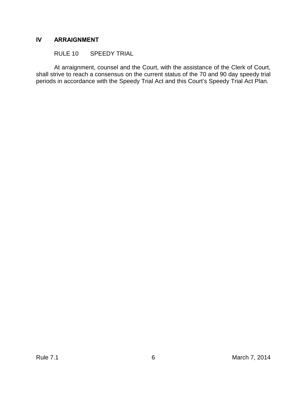#### <span id="page-9-0"></span>**IV ARRAIGNMENT**

<span id="page-9-1"></span>RULE 10 SPEEDY TRIAL

At arraignment, counsel and the Court, with the assistance of the Clerk of Court, shall strive to reach a consensus on the current status of the 70 and 90 day speedy trial periods in accordance with the Speedy Trial Act and this Court's Speedy Trial Act Plan.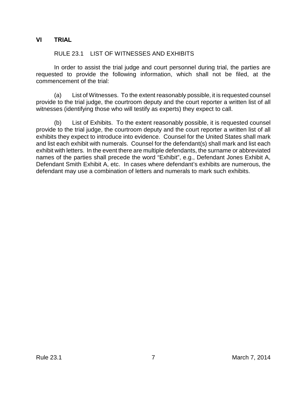#### <span id="page-10-0"></span>**VI TRIAL**

#### <span id="page-10-1"></span>RULE 23.1 LIST OF WITNESSES AND EXHIBITS

In order to assist the trial judge and court personnel during trial, the parties are requested to provide the following information, which shall not be filed, at the commencement of the trial:

<span id="page-10-2"></span>(a) List of Witnesses. To the extent reasonably possible, it is requested counsel provide to the trial judge, the courtroom deputy and the court reporter a written list of all witnesses (identifying those who will testify as experts) they expect to call.

<span id="page-10-3"></span>(b) List of Exhibits. To the extent reasonably possible, it is requested counsel provide to the trial judge, the courtroom deputy and the court reporter a written list of all exhibits they expect to introduce into evidence. Counsel for the United States shall mark and list each exhibit with numerals. Counsel for the defendant(s) shall mark and list each exhibit with letters. In the event there are multiple defendants, the surname or abbreviated names of the parties shall precede the word "Exhibit", e.g., Defendant Jones Exhibit A, Defendant Smith Exhibit A, etc. In cases where defendant's exhibits are numerous, the defendant may use a combination of letters and numerals to mark such exhibits.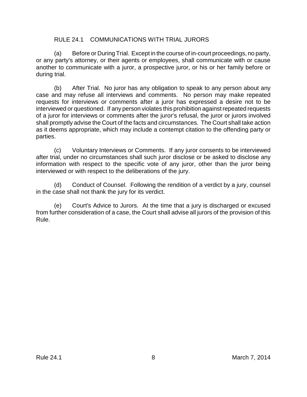#### <span id="page-11-1"></span><span id="page-11-0"></span>RULE 24.1 COMMUNICATIONS WITH TRIAL JURORS

(a) Before or During Trial. Except in the course of in-court proceedings, no party, or any party's attorney, or their agents or employees, shall communicate with or cause another to communicate with a juror, a prospective juror, or his or her family before or during trial.

<span id="page-11-2"></span>(b) After Trial. No juror has any obligation to speak to any person about any case and may refuse all interviews and comments. No person may make repeated requests for interviews or comments after a juror has expressed a desire not to be interviewed or questioned. If any person violates this prohibition against repeated requests of a juror for interviews or comments after the juror's refusal, the juror or jurors involved shall promptly advise the Court of the facts and circumstances. The Court shall take action as it deems appropriate, which may include a contempt citation to the offending party or parties.

<span id="page-11-3"></span>(c) Voluntary Interviews or Comments. If any juror consents to be interviewed after trial, under no circumstances shall such juror disclose or be asked to disclose any information with respect to the specific vote of any juror, other than the juror being interviewed or with respect to the deliberations of the jury.

<span id="page-11-4"></span>(d) Conduct of Counsel. Following the rendition of a verdict by a jury, counsel in the case shall not thank the jury for its verdict.

<span id="page-11-5"></span>(e) Court's Advice to Jurors. At the time that a jury is discharged or excused from further consideration of a case, the Court shall advise all jurors of the provision of this Rule.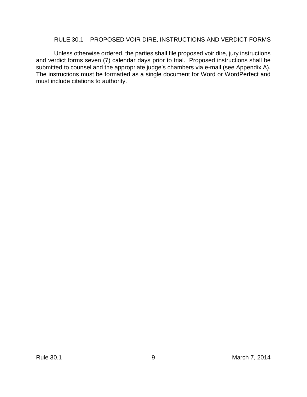#### <span id="page-12-0"></span>RULE 30.1 PROPOSED VOIR DIRE, INSTRUCTIONS AND VERDICT FORMS

Unless otherwise ordered, the parties shall file proposed voir dire, jury instructions and verdict forms seven (7) calendar days prior to trial. Proposed instructions shall be submitted to counsel and the appropriate judge's chambers via e-mail (see Appendix A). The instructions must be formatted as a single document for Word or WordPerfect and must include citations to authority.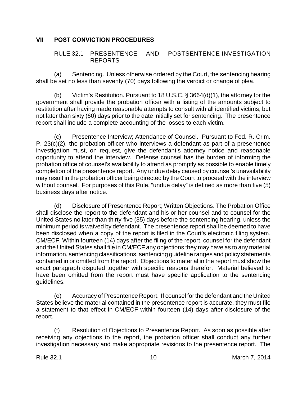#### <span id="page-13-0"></span>**VII POST CONVICTION PROCEDURES**

#### <span id="page-13-1"></span>RULE 32.1 PRESENTENCE AND POSTSENTENCE INVESTIGATION REPORTS

<span id="page-13-2"></span>(a) Sentencing. Unless otherwise ordered by the Court, the sentencing hearing shall be set no less than seventy (70) days following the verdict or change of plea.

<span id="page-13-3"></span>(b) Victim's Restitution. Pursuant to 18 U.S.C. § 3664(d)(1), the attorney for the government shall provide the probation officer with a listing of the amounts subject to restitution after having made reasonable attempts to consult with all identified victims, but not later than sixty (60) days prior to the date initially set for sentencing. The presentence report shall include a complete accounting of the losses to each victim.

<span id="page-13-4"></span>(c) Presentence Interview; Attendance of Counsel. Pursuant to Fed. R. Crim. P. 23(c)(2), the probation officer who interviews a defendant as part of a presentence investigation must, on request, give the defendant's attorney notice and reasonable opportunity to attend the interview. Defense counsel has the burden of informing the probation office of counsel's availability to attend as promptly as possible to enable timely completion of the presentence report. Any undue delay caused by counsel's unavailability may result in the probation officer being directed by the Court to proceed with the interview without counsel. For purposes of this Rule, "undue delay" is defined as more than five (5) business days after notice.

<span id="page-13-5"></span>(d) Disclosure of Presentence Report; Written Objections. The Probation Office shall disclose the report to the defendant and his or her counsel and to counsel for the United States no later than thirty-five (35) days before the sentencing hearing, unless the minimum period is waived by defendant. The presentence report shall be deemed to have been disclosed when a copy of the report is filed in the Court's electronic filing system, CM/ECF. Within fourteen (14) days after the filing of the report, counsel for the defendant and the United States shall file in CM/ECF any objections they may have as to any material information, sentencing classifications, sentencing guideline ranges and policy statements contained in or omitted from the report. Objections to material in the report must show the exact paragraph disputed together with specific reasons therefor. Material believed to have been omitted from the report must have specific application to the sentencing guidelines.

<span id="page-13-6"></span>(e) Accuracy of Presentence Report. If counsel for the defendant and the United States believe the material contained in the presentence report is accurate, they must file a statement to that effect in CM/ECF within fourteen (14) days after disclosure of the report.

<span id="page-13-7"></span>(f) Resolution of Objections to Presentence Report. As soon as possible after receiving any objections to the report, the probation officer shall conduct any further investigation necessary and make appropriate revisions to the presentence report. The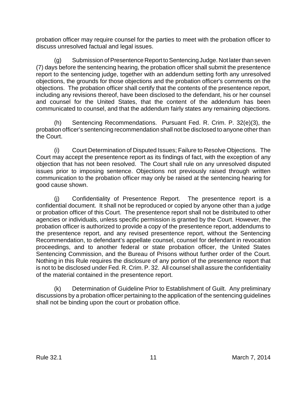probation officer may require counsel for the parties to meet with the probation officer to discuss unresolved factual and legal issues.

<span id="page-14-0"></span>(g) Submission of Presentence Report to Sentencing Judge. Not later than seven (7) days before the sentencing hearing, the probation officer shall submit the presentence report to the sentencing judge, together with an addendum setting forth any unresolved objections, the grounds for those objections and the probation officer's comments on the objections. The probation officer shall certify that the contents of the presentence report, including any revisions thereof, have been disclosed to the defendant, his or her counsel and counsel for the United States, that the content of the addendum has been communicated to counsel, and that the addendum fairly states any remaining objections.

<span id="page-14-1"></span>(h) Sentencing Recommendations. Pursuant Fed. R. Crim. P. 32(e)(3), the probation officer's sentencing recommendation shall not be disclosed to anyone other than the Court.

<span id="page-14-2"></span>(i) Court Determination of Disputed Issues; Failure to Resolve Objections. The Court may accept the presentence report as its findings of fact, with the exception of any objection that has not been resolved. The Court shall rule on any unresolved disputed issues prior to imposing sentence. Objections not previously raised through written communication to the probation officer may only be raised at the sentencing hearing for good cause shown.

<span id="page-14-3"></span>(j) Confidentiality of Presentence Report. The presentence report is a confidential document. It shall not be reproduced or copied by anyone other than a judge or probation officer of this Court. The presentence report shall not be distributed to other agencies or individuals, unless specific permission is granted by the Court. However, the probation officer is authorized to provide a copy of the presentence report, addendums to the presentence report, and any revised presentence report, without the Sentencing Recommendation, to defendant's appellate counsel, counsel for defendant in revocation proceedings, and to another federal or state probation officer, the United States Sentencing Commission, and the Bureau of Prisons without further order of the Court. Nothing in this Rule requires the disclosure of any portion of the presentence report that is not to be disclosed under Fed. R. Crim. P. 32. All counsel shall assure the confidentiality of the material contained in the presentence report.

<span id="page-14-4"></span>(k) Determination of Guideline Prior to Establishment of Guilt. Any preliminary discussions by a probation officer pertaining to the application of the sentencing guidelines shall not be binding upon the court or probation office.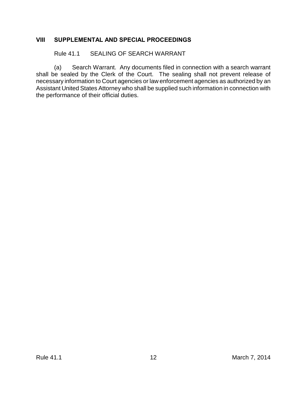#### <span id="page-15-0"></span>**VIII SUPPLEMENTAL AND SPECIAL PROCEEDINGS**

<span id="page-15-2"></span><span id="page-15-1"></span>Rule 41.1 SEALING OF SEARCH WARRANT

(a) Search Warrant. Any documents filed in connection with a search warrant shall be sealed by the Clerk of the Court. The sealing shall not prevent release of necessary information to Court agencies or law enforcement agencies as authorized by an Assistant United States Attorney who shall be supplied such information in connection with the performance of their official duties.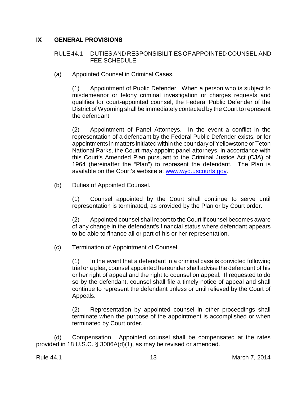#### <span id="page-16-0"></span>**IX GENERAL PROVISIONS**

#### <span id="page-16-1"></span>RULE 44.1 DUTIES AND RESPONSIBILITIES OF APPOINTED COUNSEL AND FEE SCHEDULE

<span id="page-16-2"></span>(a) Appointed Counsel in Criminal Cases.

(1) Appointment of Public Defender. When a person who is subject to misdemeanor or felony criminal investigation or charges requests and qualifies for court-appointed counsel, the Federal Public Defender of the District of Wyoming shall be immediately contacted by the Court to represent the defendant.

(2) Appointment of Panel Attorneys. In the event a conflict in the representation of a defendant by the Federal Public Defender exists, or for appointments in matters initiated within the boundary of Yellowstone or Teton National Parks, the Court may appoint panel attorneys, in accordance with this Court's Amended Plan pursuant to the Criminal Justice Act (CJA) of 1964 (hereinafter the "Plan") to represent the defendant. The Plan is available on the Court's website at [www.wyd.uscourts.gov](http://www.wyd.uscourts.gov).

<span id="page-16-3"></span>(b) Duties of Appointed Counsel.

(1) Counsel appointed by the Court shall continue to serve until representation is terminated, as provided by the Plan or by Court order.

(2) Appointed counsel shall report to the Court if counsel becomes aware of any change in the defendant's financial status where defendant appears to be able to finance all or part of his or her representation.

<span id="page-16-4"></span>(c) Termination of Appointment of Counsel.

(1) In the event that a defendant in a criminal case is convicted following trial or a plea, counsel appointed hereunder shall advise the defendant of his or her right of appeal and the right to counsel on appeal. If requested to do so by the defendant, counsel shall file a timely notice of appeal and shall continue to represent the defendant unless or until relieved by the Court of Appeals.

(2) Representation by appointed counsel in other proceedings shall terminate when the purpose of the appointment is accomplished or when terminated by Court order.

<span id="page-16-5"></span>(d) Compensation. Appointed counsel shall be compensated at the rates provided in 18 U.S.C. § 3006A(d)(1), as may be revised or amended.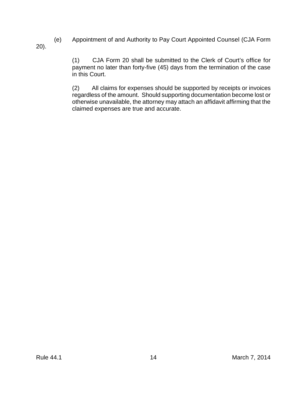<span id="page-17-0"></span>(e) Appointment of and Authority to Pay Court Appointed Counsel (CJA Form 20).

> (1) CJA Form 20 shall be submitted to the Clerk of Court's office for payment no later than forty-five (45) days from the termination of the case in this Court.

> (2) All claims for expenses should be supported by receipts or invoices regardless of the amount. Should supporting documentation become lost or otherwise unavailable, the attorney may attach an affidavit affirming that the claimed expenses are true and accurate.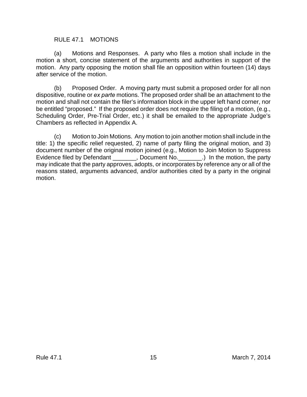#### <span id="page-18-1"></span><span id="page-18-0"></span>RULE 47.1 MOTIONS

(a) Motions and Responses. A party who files a motion shall include in the motion a short, concise statement of the arguments and authorities in support of the motion. Any party opposing the motion shall file an opposition within fourteen (14) days after service of the motion.

<span id="page-18-2"></span>(b) Proposed Order. A moving party must submit a proposed order for all non dispositive, routine or *ex parte* motions. The proposed order shall be an attachment to the motion and shall not contain the filer's information block in the upper left hand corner, nor be entitled "proposed." If the proposed order does not require the filing of a motion, (e.g., Scheduling Order, Pre-Trial Order, etc.) it shall be emailed to the appropriate Judge's Chambers as reflected in Appendix A.

<span id="page-18-3"></span>(c) Motion to Join Motions. Any motion to join another motion shall include in the title: 1) the specific relief requested, 2) name of party filing the original motion, and 3) document number of the original motion joined (e.g., Motion to Join Motion to Suppress Evidence filed by Defendant [10] . Document No. [20] In the motion, the party may indicate that the party approves, adopts, or incorporates by reference any or all of the reasons stated, arguments advanced, and/or authorities cited by a party in the original motion.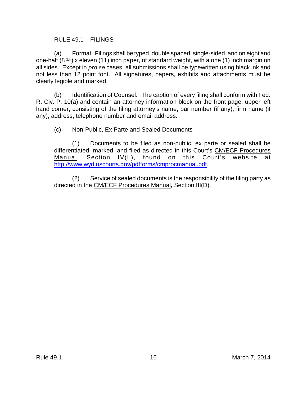#### <span id="page-19-1"></span><span id="page-19-0"></span>RULE 49.1 FILINGS

(a) Format. Filings shall be typed, double spaced, single-sided, and on eight and one-half (8 ½) x eleven (11) inch paper, of standard weight, with a one (1) inch margin on all sides. Except in *pro se* cases, all submissions shall be typewritten using black ink and not less than 12 point font. All signatures, papers, exhibits and attachments must be clearly legible and marked.

<span id="page-19-2"></span>(b) Identification of Counsel. The caption of every filing shall conform with Fed. R. Civ. P. 10(a) and contain an attorney information block on the front page, upper left hand corner, consisting of the filing attorney's name, bar number (if any), firm name (if any), address, telephone number and email address.

<span id="page-19-3"></span>(c) Non-Public, Ex Parte and Sealed Documents

(1) Documents to be filed as non-public, ex parte or sealed shall be differentiated, marked, and filed as directed in this Court's CM/ECF Procedures Manual, Section IV(L), found on this Court's website at <http://www.wyd.uscourts.gov/pdfforms/cmprocmanual.pdf>.

(2) Service of sealed documents is the responsibility of the filing party as directed in the CM/ECF Procedures Manual**,** Section III(D).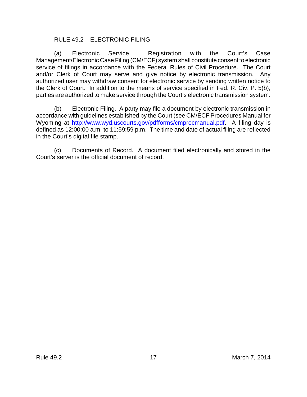#### <span id="page-20-1"></span><span id="page-20-0"></span>RULE 49.2 ELECTRONIC FILING

(a) Electronic Service. Registration with the Court's Case Management/Electronic Case Filing (CM/ECF) system shall constitute consent to electronic service of filings in accordance with the Federal Rules of Civil Procedure. The Court and/or Clerk of Court may serve and give notice by electronic transmission. Any authorized user may withdraw consent for electronic service by sending written notice to the Clerk of Court. In addition to the means of service specified in Fed. R. Civ. P. 5(b), parties are authorized to make service through the Court's electronic transmission system.

<span id="page-20-2"></span>(b) Electronic Filing. A party may file a document by electronic transmission in accordance with guidelines established by the Court (see CM/ECF Procedures Manual for Wyoming at <http://www.wyd.uscourts.gov/pdfforms/cmprocmanual.pdf>. A filing day is defined as 12:00:00 a.m. to 11:59:59 p.m. The time and date of actual filing are reflected in the Court's digital file stamp.

<span id="page-20-3"></span>(c) Documents of Record. A document filed electronically and stored in the Court's server is the official document of record.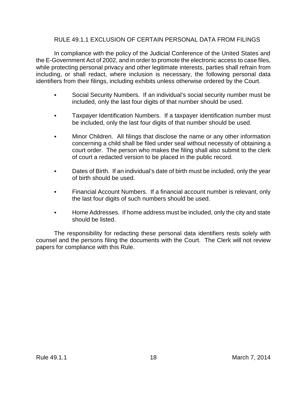#### <span id="page-21-0"></span>RULE 49.1.1 EXCLUSION OF CERTAIN PERSONAL DATA FROM FILINGS

In compliance with the policy of the Judicial Conference of the United States and the E-Government Act of 2002, and in order to promote the electronic access to case files, while protecting personal privacy and other legitimate interests, parties shall refrain from including, or shall redact, where inclusion is necessary, the following personal data identifiers from their filings, including exhibits unless otherwise ordered by the Court.

- Social Security Numbers. If an individual's social security number must be included, only the last four digits of that number should be used.
- Taxpayer Identification Numbers. If a taxpayer identification number must be included, only the last four digits of that number should be used.
- Minor Children. All filings that disclose the name or any other information concerning a child shall be filed under seal without necessity of obtaining a court order. The person who makes the filing shall also submit to the clerk of court a redacted version to be placed in the public record.
- Dates of Birth. If an individual's date of birth must be included, only the year of birth should be used.
- Financial Account Numbers. If a financial account number is relevant, only the last four digits of such numbers should be used.
- Home Addresses. If home address must be included, only the city and state should be listed.

The responsibility for redacting these personal data identifiers rests solely with counsel and the persons filing the documents with the Court. The Clerk will not review papers for compliance with this Rule.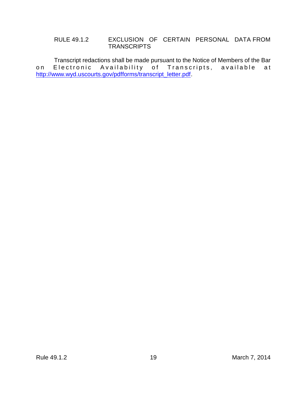#### <span id="page-22-0"></span>RULE 49.1.2 EXCLUSION OF CERTAIN PERSONAL DATA FROM **TRANSCRIPTS**

Transcript redactions shall be made pursuant to the Notice of Members of the Bar on Electronic Availability of Transcripts, available at [http://www.wyd.uscourts.gov/pdfforms/transcript\\_letter.pdf](http://www.wyd.uscourts.gov).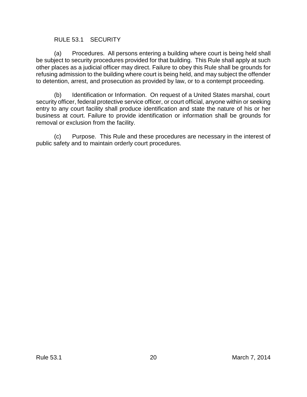#### <span id="page-23-1"></span><span id="page-23-0"></span>RULE 53.1 SECURITY

(a) Procedures. All persons entering a building where court is being held shall be subject to security procedures provided for that building. This Rule shall apply at such other places as a judicial officer may direct. Failure to obey this Rule shall be grounds for refusing admission to the building where court is being held, and may subject the offender to detention, arrest, and prosecution as provided by law, or to a contempt proceeding.

<span id="page-23-2"></span>(b) Identification or Information. On request of a United States marshal, court security officer, federal protective service officer, or court official, anyone within or seeking entry to any court facility shall produce identification and state the nature of his or her business at court. Failure to provide identification or information shall be grounds for removal or exclusion from the facility.

<span id="page-23-3"></span>(c) Purpose. This Rule and these procedures are necessary in the interest of public safety and to maintain orderly court procedures.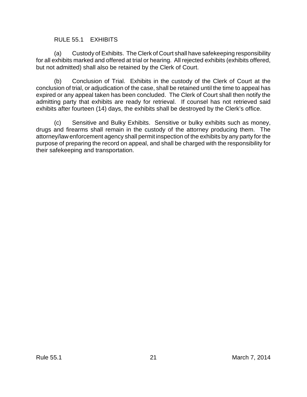#### <span id="page-24-1"></span><span id="page-24-0"></span>RULE 55.1 EXHIBITS

(a) Custody of Exhibits. The Clerk of Court shall have safekeeping responsibility for all exhibits marked and offered at trial or hearing. All rejected exhibits (exhibits offered, but not admitted) shall also be retained by the Clerk of Court.

<span id="page-24-2"></span>(b) Conclusion of Trial. Exhibits in the custody of the Clerk of Court at the conclusion of trial, or adjudication of the case, shall be retained until the time to appeal has expired or any appeal taken has been concluded. The Clerk of Court shall then notify the admitting party that exhibits are ready for retrieval. If counsel has not retrieved said exhibits after fourteen (14) days, the exhibits shall be destroyed by the Clerk's office.

<span id="page-24-3"></span>(c) Sensitive and Bulky Exhibits. Sensitive or bulky exhibits such as money, drugs and firearms shall remain in the custody of the attorney producing them. The attorney/law enforcement agency shall permit inspection of the exhibits by any party for the purpose of preparing the record on appeal, and shall be charged with the responsibility for their safekeeping and transportation.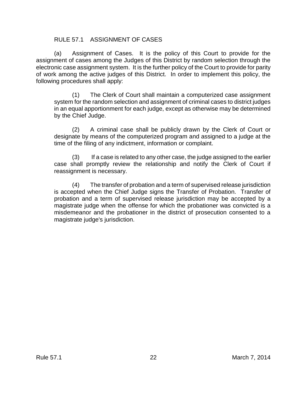#### <span id="page-25-1"></span><span id="page-25-0"></span>RULE 57.1 ASSIGNMENT OF CASES

(a) Assignment of Cases. It is the policy of this Court to provide for the assignment of cases among the Judges of this District by random selection through the electronic case assignment system. It is the further policy of the Court to provide for parity of work among the active judges of this District. In order to implement this policy, the following procedures shall apply:

(1) The Clerk of Court shall maintain a computerized case assignment system for the random selection and assignment of criminal cases to district judges in an equal apportionment for each judge, except as otherwise may be determined by the Chief Judge.

(2) A criminal case shall be publicly drawn by the Clerk of Court or designate by means of the computerized program and assigned to a judge at the time of the filing of any indictment, information or complaint.

(3) If a case is related to any other case, the judge assigned to the earlier case shall promptly review the relationship and notify the Clerk of Court if reassignment is necessary.

(4) The transfer of probation and a term of supervised release jurisdiction is accepted when the Chief Judge signs the Transfer of Probation. Transfer of probation and a term of supervised release jurisdiction may be accepted by a magistrate judge when the offense for which the probationer was convicted is a misdemeanor and the probationer in the district of prosecution consented to a magistrate judge's jurisdiction.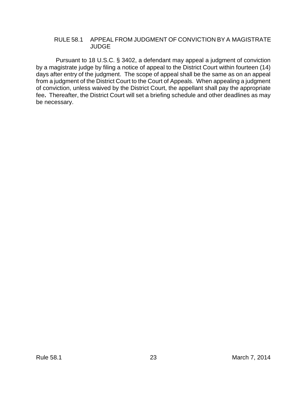#### <span id="page-26-0"></span>RULE 58.1 APPEAL FROM JUDGMENT OF CONVICTION BY A MAGISTRATE JUDGE

 Pursuant to 18 U.S.C. § 3402, a defendant may appeal a judgment of conviction by a magistrate judge by filing a notice of appeal to the District Court within fourteen (14) days after entry of the judgment. The scope of appeal shall be the same as on an appeal from a judgment of the District Court to the Court of Appeals. When appealing a judgment of conviction, unless waived by the District Court, the appellant shall pay the appropriate fee**.** Thereafter, the District Court will set a briefing schedule and other deadlines as may be necessary.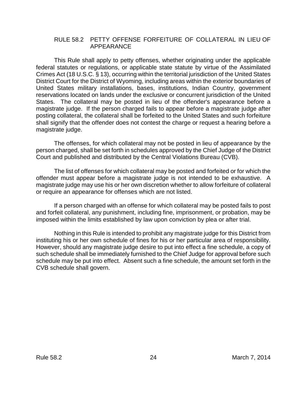#### <span id="page-27-0"></span>RULE 58.2 PETTY OFFENSE FORFEITURE OF COLLATERAL IN LIEU OF APPEARANCE

This Rule shall apply to petty offenses, whether originating under the applicable federal statutes or regulations, or applicable state statute by virtue of the Assimilated Crimes Act (18 U.S.C. § 13), occurring within the territorial jurisdiction of the United States District Court for the District of Wyoming, including areas within the exterior boundaries of United States military installations, bases, institutions, Indian Country, government reservations located on lands under the exclusive or concurrent jurisdiction of the United States. The collateral may be posted in lieu of the offender's appearance before a magistrate judge. If the person charged fails to appear before a magistrate judge after posting collateral, the collateral shall be forfeited to the United States and such forfeiture shall signify that the offender does not contest the charge or request a hearing before a magistrate judge.

The offenses, for which collateral may not be posted in lieu of appearance by the person charged, shall be set forth in schedules approved by the Chief Judge of the District Court and published and distributed by the Central Violations Bureau (CVB).

The list of offenses for which collateral may be posted and forfeited or for which the offender must appear before a magistrate judge is not intended to be exhaustive. A magistrate judge may use his or her own discretion whether to allow forfeiture of collateral or require an appearance for offenses which are not listed.

If a person charged with an offense for which collateral may be posted fails to post and forfeit collateral, any punishment, including fine, imprisonment, or probation, may be imposed within the limits established by law upon conviction by plea or after trial.

Nothing in this Rule is intended to prohibit any magistrate judge for this District from instituting his or her own schedule of fines for his or her particular area of responsibility. However, should any magistrate judge desire to put into effect a fine schedule, a copy of such schedule shall be immediately furnished to the Chief Judge for approval before such schedule may be put into effect. Absent such a fine schedule, the amount set forth in the CVB schedule shall govern.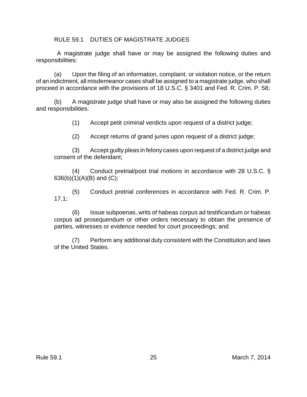<span id="page-28-0"></span>RULE 59.1 DUTIES OF MAGISTRATE JUDGES

 A magistrate judge shall have or may be assigned the following duties and responsibilities:

(a) Upon the filing of an information, complaint, or violation notice, or the return of an indictment, all misdemeanor cases shall be assigned to a magistrate judge, who shall proceed in accordance with the provisions of 18 U.S.C. § 3401 and Fed. R. Crim. P. 58;

(b) A magistrate judge shall have or may also be assigned the following duties and responsibilities:

(1) Accept petit criminal verdicts upon request of a district judge;

(2) Accept returns of grand juries upon request of a district judge;

(3) Accept guilty pleas in felony cases upon request of a district judge and consent of the defendant;

(4) Conduct pretrial/post trial motions in accordance with 28 U.S.C. §  $636(b)(1)(A)(B)$  and  $(C)$ ;

(5) Conduct pretrial conferences in accordance with Fed. R. Crim. P. 17.1;

(6) Issue subpoenas, writs of habeas corpus ad testificandum or habeas corpus ad prosequendum or other orders necessary to obtain the presence of parties, witnesses or evidence needed for court proceedings; and

(7) Perform any additional duty consistent with the Constitution and laws of the United States.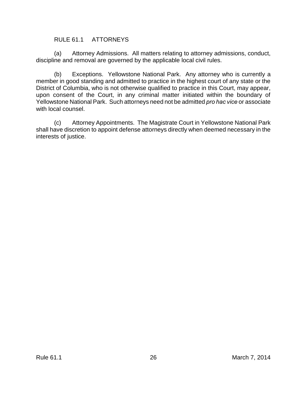#### <span id="page-29-1"></span><span id="page-29-0"></span>RULE 61.1 ATTORNEYS

(a) Attorney Admissions. All matters relating to attorney admissions, conduct, discipline and removal are governed by the applicable local civil rules.

<span id="page-29-2"></span>(b) Exceptions. Yellowstone National Park. Any attorney who is currently a member in good standing and admitted to practice in the highest court of any state or the District of Columbia, who is not otherwise qualified to practice in this Court, may appear, upon consent of the Court, in any criminal matter initiated within the boundary of Yellowstone National Park. Such attorneys need not be admitted *pro hac vice* or associate with local counsel.

<span id="page-29-3"></span>(c) Attorney Appointments. The Magistrate Court in Yellowstone National Park shall have discretion to appoint defense attorneys directly when deemed necessary in the interests of justice.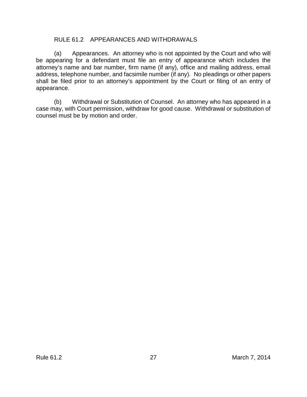#### <span id="page-30-1"></span><span id="page-30-0"></span>RULE 61.2 APPEARANCES AND WITHDRAWALS

(a) Appearances. An attorney who is not appointed by the Court and who will be appearing for a defendant must file an entry of appearance which includes the attorney's name and bar number, firm name (if any), office and mailing address, email address, telephone number, and facsimile number (if any). No pleadings or other papers shall be filed prior to an attorney's appointment by the Court or filing of an entry of appearance.

<span id="page-30-2"></span>(b) Withdrawal or Substitution of Counsel. An attorney who has appeared in a case may, with Court permission, withdraw for good cause. Withdrawal or substitution of counsel must be by motion and order.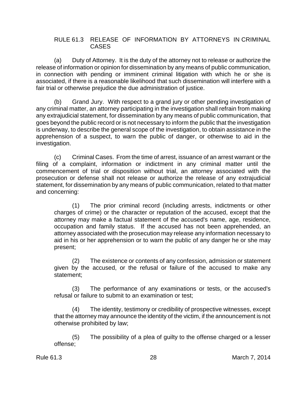#### <span id="page-31-0"></span>RULE 61.3 RELEASE OF INFORMATION BY ATTORNEYS IN CRIMINAL CASES

<span id="page-31-1"></span>(a) Duty of Attorney. It is the duty of the attorney not to release or authorize the release of information or opinion for dissemination by any means of public communication, in connection with pending or imminent criminal litigation with which he or she is associated, if there is a reasonable likelihood that such dissemination will interfere with a fair trial or otherwise prejudice the due administration of justice.

<span id="page-31-2"></span>(b) Grand Jury. With respect to a grand jury or other pending investigation of any criminal matter, an attorney participating in the investigation shall refrain from making any extrajudicial statement, for dissemination by any means of public communication, that goes beyond the public record or is not necessary to inform the public that the investigation is underway, to describe the general scope of the investigation, to obtain assistance in the apprehension of a suspect, to warn the public of danger, or otherwise to aid in the investigation.

<span id="page-31-3"></span>(c) Criminal Cases. From the time of arrest, issuance of an arrest warrant or the filing of a complaint, information or indictment in any criminal matter until the commencement of trial or disposition without trial, an attorney associated with the prosecution or defense shall not release or authorize the release of any extrajudicial statement, for dissemination by any means of public communication, related to that matter and concerning:

(1) The prior criminal record (including arrests, indictments or other charges of crime) or the character or reputation of the accused, except that the attorney may make a factual statement of the accused's name, age, residence, occupation and family status. If the accused has not been apprehended, an attorney associated with the prosecution may release any information necessary to aid in his or her apprehension or to warn the public of any danger he or she may present;

(2) The existence or contents of any confession, admission or statement given by the accused, or the refusal or failure of the accused to make any statement;

(3) The performance of any examinations or tests, or the accused's refusal or failure to submit to an examination or test;

(4) The identity, testimony or credibility of prospective witnesses, except that the attorney may announce the identity of the victim, if the announcement is not otherwise prohibited by law;

(5) The possibility of a plea of guilty to the offense charged or a lesser offense;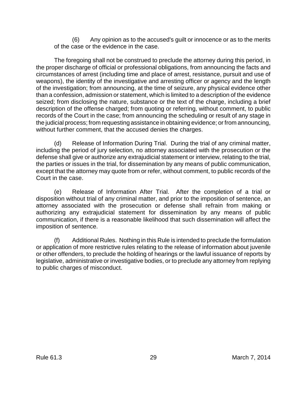(6) Any opinion as to the accused's guilt or innocence or as to the merits of the case or the evidence in the case.

The foregoing shall not be construed to preclude the attorney during this period, in the proper discharge of official or professional obligations, from announcing the facts and circumstances of arrest (including time and place of arrest, resistance, pursuit and use of weapons), the identity of the investigative and arresting officer or agency and the length of the investigation; from announcing, at the time of seizure, any physical evidence other than a confession, admission or statement, which is limited to a description of the evidence seized; from disclosing the nature, substance or the text of the charge, including a brief description of the offense charged; from quoting or referring, without comment, to public records of the Court in the case; from announcing the scheduling or result of any stage in the judicial process; from requesting assistance in obtaining evidence; or from announcing, without further comment, that the accused denies the charges.

<span id="page-32-0"></span>(d) Release of Information During Trial. During the trial of any criminal matter, including the period of jury selection, no attorney associated with the prosecution or the defense shall give or authorize any extrajudicial statement or interview, relating to the trial, the parties or issues in the trial, for dissemination by any means of public communication, except that the attorney may quote from or refer, without comment, to public records of the Court in the case.

<span id="page-32-1"></span>(e) Release of Information After Trial. After the completion of a trial or disposition without trial of any criminal matter, and prior to the imposition of sentence, an attorney associated with the prosecution or defense shall refrain from making or authorizing any extrajudicial statement for dissemination by any means of public communication, if there is a reasonable likelihood that such dissemination will affect the imposition of sentence.

<span id="page-32-2"></span>(f) Additional Rules. Nothing in this Rule is intended to preclude the formulation or application of more restrictive rules relating to the release of information about juvenile or other offenders, to preclude the holding of hearings or the lawful issuance of reports by legislative, administrative or investigative bodies, or to preclude any attorney from replying to public charges of misconduct.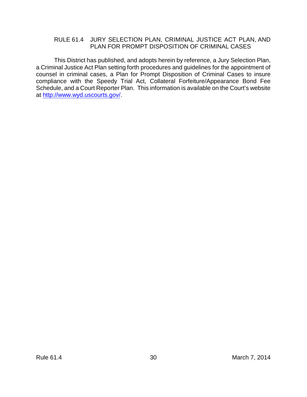#### <span id="page-33-0"></span>RULE 61.4 JURY SELECTION PLAN, CRIMINAL JUSTICE ACT PLAN, AND PLAN FOR PROMPT DISPOSITION OF CRIMINAL CASES

This District has published, and adopts herein by reference, a Jury Selection Plan, a Criminal Justice Act Plan setting forth procedures and guidelines for the appointment of counsel in criminal cases, a Plan for Prompt Disposition of Criminal Cases to insure compliance with the Speedy Trial Act, Collateral Forfeiture/Appearance Bond Fee Schedule, and a Court Reporter Plan. This information is available on the Court's website at [http://www.wyd.uscourts.gov/](Http://www.wyd.uscourts.gov/).